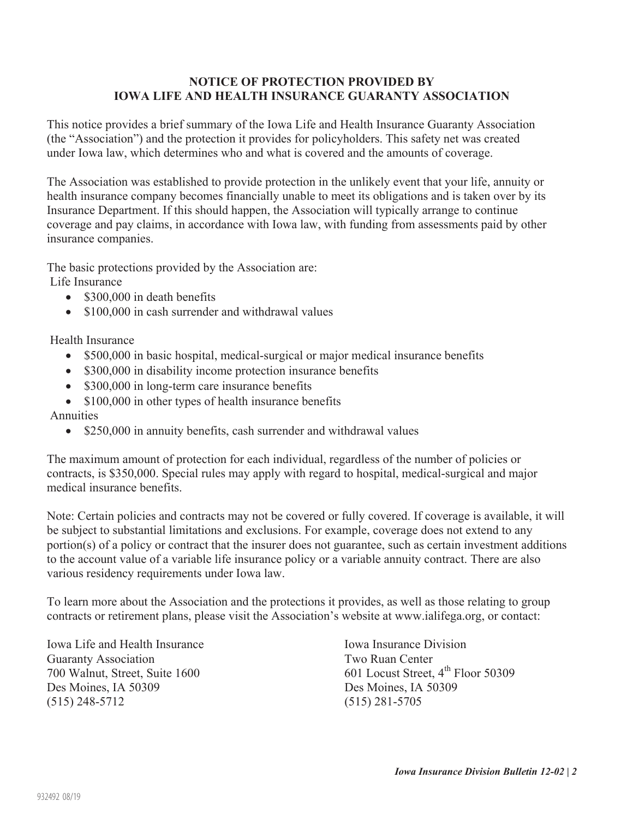## **NOTICE OF PROTECTION PROVIDED BY IOWA LIFE AND HEALTH INSURANCE GUARANTY ASSOCIATION**

This notice provides a brief summary of the Iowa Life and Health Insurance Guaranty Association (the "Association") and the protection it provides for policyholders. This safety net was created under Iowa law, which determines who and what is covered and the amounts of coverage.

The Association was established to provide protection in the unlikely event that your life, annuity or health insurance company becomes financially unable to meet its obligations and is taken over by its Insurance Department. If this should happen, the Association will typically arrange to continue coverage and pay claims, in accordance with Iowa law, with funding from assessments paid by other insurance companies.

The basic protections provided by the Association are:

Life Insurance

- $\bullet$  \$300,000 in death benefits
- $\bullet$  \$100,000 in cash surrender and withdrawal values

Health Insurance

- \$500,000 in basic hospital, medical-surgical or major medical insurance benefits
- $\bullet$  \$300,000 in disability income protection insurance benefits
- $\bullet$  \$300,000 in long-term care insurance benefits
- $\bullet$  \$100,000 in other types of health insurance benefits

Annuities

 $\bullet$  \$250,000 in annuity benefits, cash surrender and withdrawal values

The maximum amount of protection for each individual, regardless of the number of policies or contracts, is \$350,000. Special rules may apply with regard to hospital, medical-surgical and major medical insurance benefits.

Note: Certain policies and contracts may not be covered or fully covered. If coverage is available, it will be subject to substantial limitations and exclusions. For example, coverage does not extend to any portion(s) of a policy or contract that the insurer does not guarantee, such as certain investment additions to the account value of a variable life insurance policy or a variable annuity contract. There are also various residency requirements under Iowa law.

To learn more about the Association and the protections it provides, as well as those relating to group contracts or retirement plans, please visit the Association's website at www.ialifega.org, or contact:

Iowa Life and Health Insurance **Iowa Insurance Iowa Insurance Division** Guaranty Association Two Ruan Center Des Moines, IA 50309 Des Moines, IA 50309 (515) 248-5712 (515) 281-5705

700 Walnut, Street, Suite 1600 601 Locust Street, 4<sup>th</sup> Floor 50309